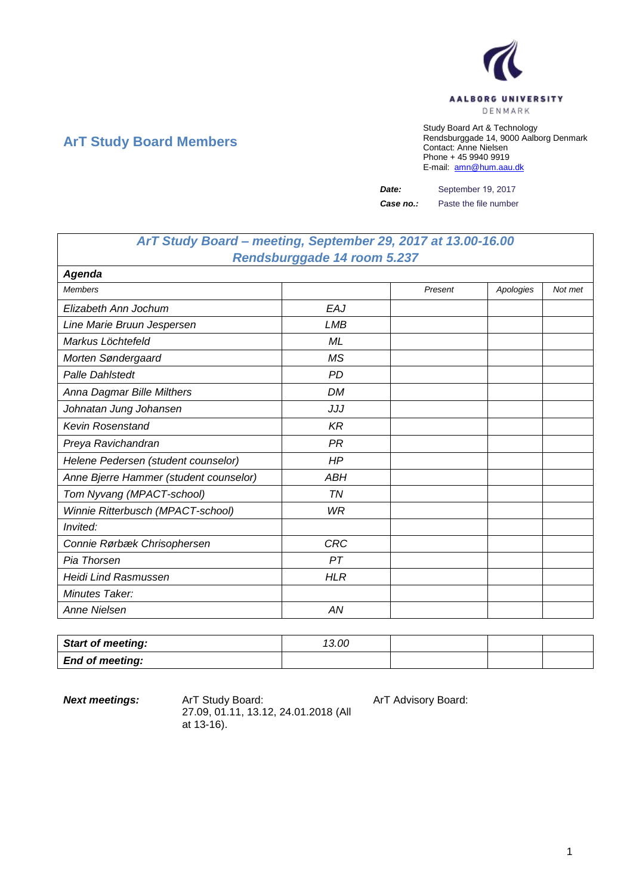

## **ArT Study Board Members**

Study Board Art & Technology Rendsburggade 14, 9000 Aalborg Denmark Contact: Anne Nielsen Phone + 45 9940 9919 E-mail: [amn@hum.aau.dk](mailto:amn@hum.aau.dk)

*Date:* September 19, 2017

*Case no.:* Paste the file number

## *ArT Study Board – meeting, September 29, 2017 at 13.00-16.00 Rendsburggade 14 room 5.237*

| Agenda                                 |            |         |           |         |
|----------------------------------------|------------|---------|-----------|---------|
| <b>Members</b>                         |            | Present | Apologies | Not met |
| Elizabeth Ann Jochum                   | EAJ        |         |           |         |
| Line Marie Bruun Jespersen             | <b>LMB</b> |         |           |         |
| Markus Löchtefeld                      | ML         |         |           |         |
| Morten Søndergaard                     | <b>MS</b>  |         |           |         |
| <b>Palle Dahlstedt</b>                 | <b>PD</b>  |         |           |         |
| Anna Dagmar Bille Milthers             | <b>DM</b>  |         |           |         |
| Johnatan Jung Johansen                 | JJJ        |         |           |         |
| <b>Kevin Rosenstand</b>                | <b>KR</b>  |         |           |         |
| Preya Ravichandran                     | <b>PR</b>  |         |           |         |
| Helene Pedersen (student counselor)    | HP         |         |           |         |
| Anne Bjerre Hammer (student counselor) | <b>ABH</b> |         |           |         |
| Tom Nyvang (MPACT-school)              | TN         |         |           |         |
| Winnie Ritterbusch (MPACT-school)      | WR         |         |           |         |
| Invited:                               |            |         |           |         |
| Connie Rørbæk Chrisophersen            | <b>CRC</b> |         |           |         |
| Pia Thorsen                            | PT         |         |           |         |
| <b>Heidi Lind Rasmussen</b>            | <b>HLR</b> |         |           |         |
| Minutes Taker:                         |            |         |           |         |
| Anne Nielsen                           | AN         |         |           |         |

| <b>Start of meeting:</b> | 13.00 |  |  |
|--------------------------|-------|--|--|
| <b>End of meeting:</b>   |       |  |  |

**Next meetings:** ArT Study Board: ArT Advisory Board: 27.09, 01.11, 13.12, 24.01.2018 (All at 13-16).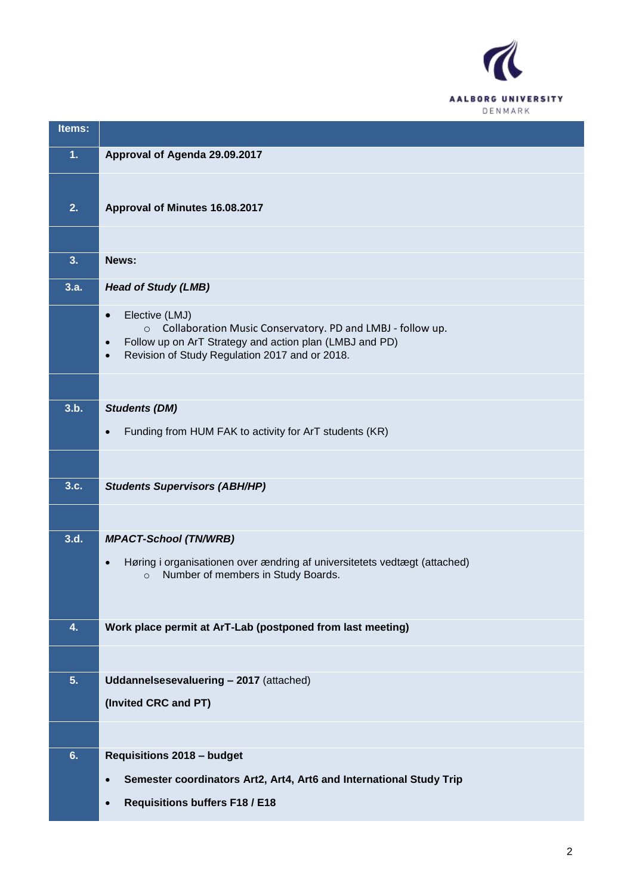

| Items: |                                                                                                                                                                                                                                             |
|--------|---------------------------------------------------------------------------------------------------------------------------------------------------------------------------------------------------------------------------------------------|
| 1.     | Approval of Agenda 29.09.2017                                                                                                                                                                                                               |
|        |                                                                                                                                                                                                                                             |
| 2.     | Approval of Minutes 16.08.2017                                                                                                                                                                                                              |
|        |                                                                                                                                                                                                                                             |
| 3.     | News:                                                                                                                                                                                                                                       |
| 3.a.   | <b>Head of Study (LMB)</b>                                                                                                                                                                                                                  |
|        | Elective (LMJ)<br>$\bullet$<br>Collaboration Music Conservatory. PD and LMBJ - follow up.<br>$\circ$<br>Follow up on ArT Strategy and action plan (LMBJ and PD)<br>$\bullet$<br>Revision of Study Regulation 2017 and or 2018.<br>$\bullet$ |
|        |                                                                                                                                                                                                                                             |
| 3.b.   | <b>Students (DM)</b>                                                                                                                                                                                                                        |
|        | Funding from HUM FAK to activity for ArT students (KR)<br>$\bullet$                                                                                                                                                                         |
|        |                                                                                                                                                                                                                                             |
| 3.c.   | <b>Students Supervisors (ABH/HP)</b>                                                                                                                                                                                                        |
|        |                                                                                                                                                                                                                                             |
| 3.d.   | <b>MPACT-School (TN/WRB)</b>                                                                                                                                                                                                                |
|        | Høring i organisationen over ændring af universitetets vedtægt (attached)<br>$\bullet$<br>Number of members in Study Boards.<br>$\circ$                                                                                                     |
|        |                                                                                                                                                                                                                                             |
| 4.     | Work place permit at ArT-Lab (postponed from last meeting)                                                                                                                                                                                  |
|        |                                                                                                                                                                                                                                             |
| 5.     | Uddannelsesevaluering - 2017 (attached)                                                                                                                                                                                                     |
|        | (Invited CRC and PT)                                                                                                                                                                                                                        |
|        |                                                                                                                                                                                                                                             |
| 6.     | <b>Requisitions 2018 - budget</b>                                                                                                                                                                                                           |
|        | Semester coordinators Art2, Art4, Art6 and International Study Trip<br>$\bullet$                                                                                                                                                            |
|        | <b>Requisitions buffers F18 / E18</b>                                                                                                                                                                                                       |